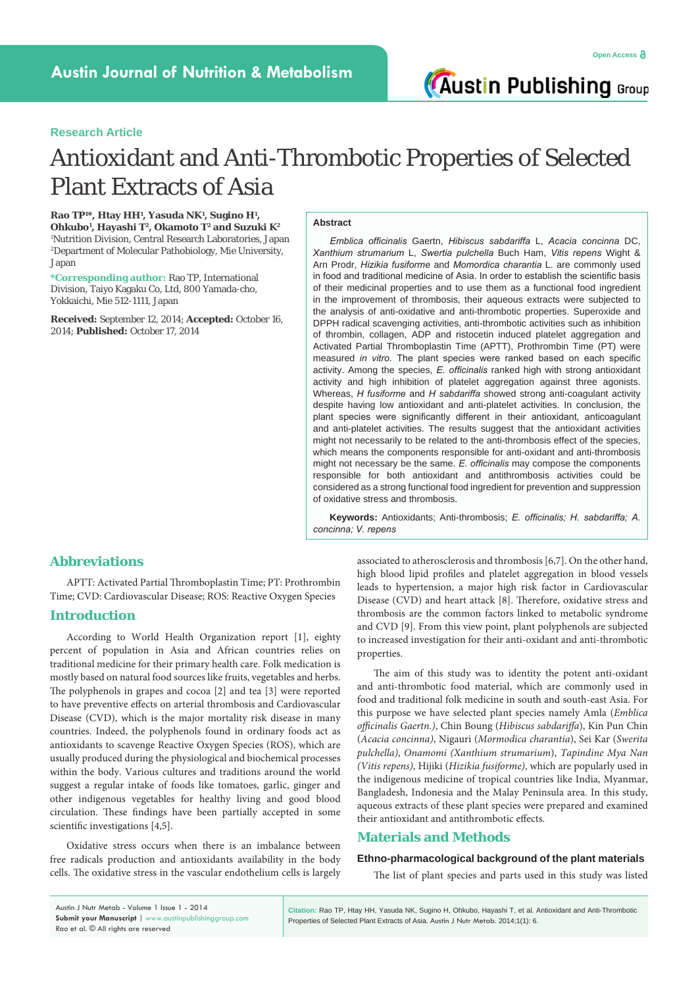**Austin Publishing Group** 

# **Research Article**

# Antioxidant and Anti-Thrombotic Properties of Selected Plant Extracts of Asia

**Rao TP1 \*, Htay HH1 , Yasuda NK1 , Sugino H1 , Ohkubo1 , Hayashi T2, Okamoto T2 and Suzuki K2** 1 Nutrition Division, Central Research Laboratories, Japan 2 Department of Molecular Pathobiology, Mie University, Japan

**\*Corresponding author:** Rao TP, International Division, Taiyo Kagaku Co, Ltd, 800 Yamada-cho, Yokkaichi, Mie 512-1111, Japan

**Received:** September 12, 2014; **Accepted:** October 16, 2014; **Published:** October 17, 2014

#### **Abstract**

*Emblica officinalis* Gaertn, *Hibiscus sabdariffa* L, *Acacia concinna* DC, *Xanthium strumarium* L, *Swertia pulchella* Buch Ham, *Vitis repens* Wight & Arn Prodr, *Hizikia fusiforme* and *Momordica charantia* L. are commonly used in food and traditional medicine of Asia. In order to establish the scientific basis of their medicinal properties and to use them as a functional food ingredient in the improvement of thrombosis, their aqueous extracts were subjected to the analysis of anti-oxidative and anti-thrombotic properties. Superoxide and DPPH radical scavenging activities, anti-thrombotic activities such as inhibition of thrombin, collagen, ADP and ristocetin induced platelet aggregation and Activated Partial Thromboplastin Time (APTT), Prothrombin Time (PT) were measured *in vitro.* The plant species were ranked based on each specific activity. Among the species, *E. officinalis* ranked high with strong antioxidant activity and high inhibition of platelet aggregation against three agonists. Whereas, *H fusiforme* and *H sabdariffa* showed strong anti-coagulant activity despite having low antioxidant and anti-platelet activities. In conclusion, the plant species were significantly different in their antioxidant, anticoagulant and anti-platelet activities. The results suggest that the antioxidant activities might not necessarily to be related to the anti-thrombosis effect of the species, which means the components responsible for anti-oxidant and anti-thrombosis might not necessary be the same. *E. officinalis* may compose the components responsible for both antioxidant and antithrombosis activities could be considered as a strong functional food ingredient for prevention and suppression of oxidative stress and thrombosis.

**Keywords:** Antioxidants; Anti-thrombosis; *E. officinalis; H. sabdariffa; A. concinna; V. repens*

# **Abbreviations**

APTT: Activated Partial Thromboplastin Time; PT: Prothrombin Time; CVD: Cardiovascular Disease; ROS: Reactive Oxygen Species

# **Introduction**

According to World Health Organization report [1], eighty percent of population in Asia and African countries relies on traditional medicine for their primary health care. Folk medication is mostly based on natural food sources like fruits, vegetables and herbs. The polyphenols in grapes and cocoa [2] and tea [3] were reported to have preventive effects on arterial thrombosis and Cardiovascular Disease (CVD), which is the major mortality risk disease in many countries. Indeed, the polyphenols found in ordinary foods act as antioxidants to scavenge Reactive Oxygen Species (ROS), which are usually produced during the physiological and biochemical processes within the body. Various cultures and traditions around the world suggest a regular intake of foods like tomatoes, garlic, ginger and other indigenous vegetables for healthy living and good blood circulation. These findings have been partially accepted in some scientific investigations [4,5].

Oxidative stress occurs when there is an imbalance between free radicals production and antioxidants availability in the body cells. The oxidative stress in the vascular endothelium cells is largely associated to atherosclerosis and thrombosis [6,7]. On the other hand, high blood lipid profiles and platelet aggregation in blood vessels leads to hypertension, a major high risk factor in Cardiovascular Disease (CVD) and heart attack [8]. Therefore, oxidative stress and thrombosis are the common factors linked to metabolic syndrome and CVD [9]. From this view point, plant polyphenols are subjected to increased investigation for their anti-oxidant and anti-thrombotic properties.

The aim of this study was to identity the potent anti-oxidant and anti-thrombotic food material, which are commonly used in food and traditional folk medicine in south and south-east Asia. For this purpose we have selected plant species namely Amla (*Emblica officinalis Gaertn.)*, Chin Boung (*Hibiscus sabdariffa*), Kin Pun Chin (*Acacia concinna)*, Nigauri (*Mormodica charantia*), Sei Kar (*Swerita pulchella)*, *Onamomi (Xanthium strumarium*), *Tapindine Mya Nan (Vitis repens)*, Hijiki (*Hizikia fusiforme)*, which are popularly used in the indigenous medicine of tropical countries like India, Myanmar, Bangladesh, Indonesia and the Malay Peninsula area. In this study, aqueous extracts of these plant species were prepared and examined their antioxidant and antithrombotic effects.

# **Materials and Methods**

#### **Ethno-pharmacological background of the plant materials**

The list of plant species and parts used in this study was listed

**Citation:** Rao TP, Htay HH, Yasuda NK, Sugino H, Ohkubo, Hayashi T, et al. Antioxidant and Anti-Thrombotic Properties of Selected Plant Extracts of Asia. Austin J Nutr Metab. 2014;1(1): 6.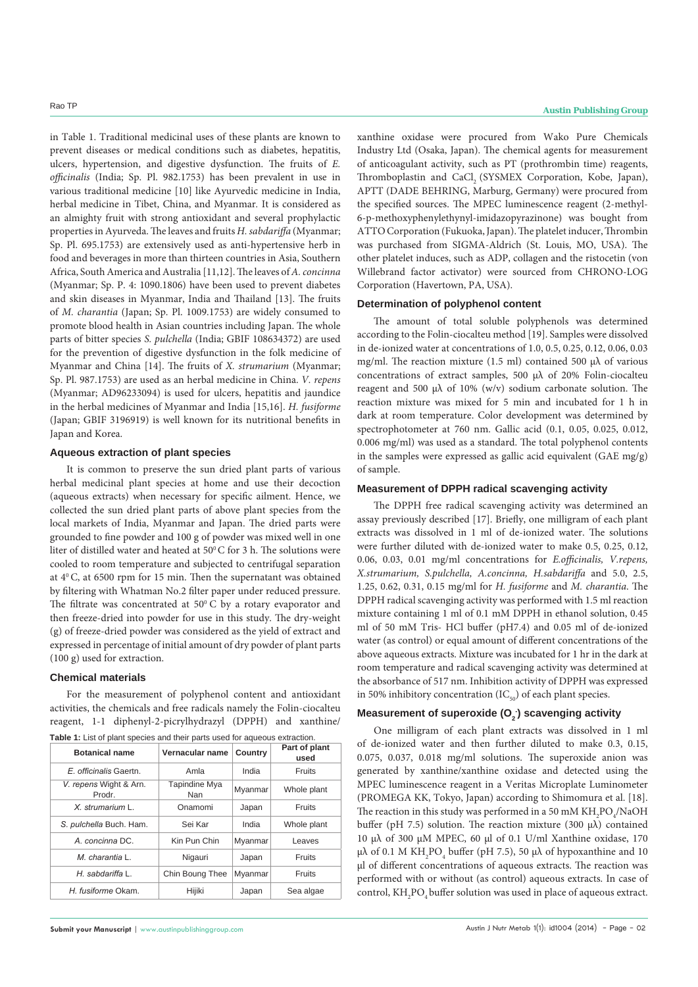in Table 1. Traditional medicinal uses of these plants are known to prevent diseases or medical conditions such as diabetes, hepatitis, ulcers, hypertension, and digestive dysfunction. The fruits of *E. officinalis* (India; Sp. Pl. 982.1753) has been prevalent in use in various traditional medicine [10] like Ayurvedic medicine in India, herbal medicine in Tibet, China, and Myanmar*.* It is considered as an almighty fruit with strong antioxidant and several prophylactic properties in Ayurveda.The leaves and fruits *H. sabdariffa* (Myanmar; Sp. Pl. 695.1753) are extensively used as anti-hypertensive herb in food and beverages in more than thirteen countries in Asia, Southern Africa, South America and Australia [11,12]. The leaves of *A. concinna*  (Myanmar; Sp. P. 4: 1090.1806) have been used to prevent diabetes and skin diseases in Myanmar, India and Thailand [13]. The fruits of *M. charantia* (Japan; Sp. Pl. 1009.1753) are widely consumed to promote blood health in Asian countries including Japan. The whole parts of bitter species *S. pulchella* (India; GBIF 108634372) are used for the prevention of digestive dysfunction in the folk medicine of Myanmar and China [14]. The fruits of *X. strumarium* (Myanmar; Sp. Pl. 987.1753) are used as an herbal medicine in China. *V. repens*  (Myanmar; AD96233094) is used for ulcers, hepatitis and jaundice in the herbal medicines of Myanmar and India [15,16]. *H. fusiforme* (Japan; GBIF 3196919) is well known for its nutritional benefits in Japan and Korea.

#### **Aqueous extraction of plant species**

It is common to preserve the sun dried plant parts of various herbal medicinal plant species at home and use their decoction (aqueous extracts) when necessary for specific ailment. Hence, we collected the sun dried plant parts of above plant species from the local markets of India, Myanmar and Japan. The dried parts were grounded to fine powder and 100 g of powder was mixed well in one liter of distilled water and heated at  $50^{\circ}$ C for 3 h. The solutions were cooled to room temperature and subjected to centrifugal separation at  $4^{\circ}$  C, at 6500 rpm for 15 min. Then the supernatant was obtained by filtering with Whatman No.2 filter paper under reduced pressure. The filtrate was concentrated at  $50^{\circ}$  C by a rotary evaporator and then freeze-dried into powder for use in this study. The dry-weight (g) of freeze-dried powder was considered as the yield of extract and expressed in percentage of initial amount of dry powder of plant parts (100 g) used for extraction.

#### **Chemical materials**

For the measurement of polyphenol content and antioxidant activities, the chemicals and free radicals namely the Folin-ciocalteu reagent, 1-1 diphenyl-2-picrylhydrazyl (DPPH) and xanthine/ **Table 1:** List of plant species and their parts used for aqueous extraction.

| <b>Botanical name</b>            | Vernacular name      | Country | Part of plant<br>used |  |
|----------------------------------|----------------------|---------|-----------------------|--|
| E. officinalis Gaertn.           | Amla                 | India   | <b>Fruits</b>         |  |
| V. repens Wight & Arn.<br>Prodr. | Tapindine Mya<br>Nan | Myanmar | Whole plant           |  |
| $X.$ strumarium $L.$             | Onamomi              | Japan   | <b>Fruits</b>         |  |
| S. pulchella Buch. Ham.          | Sei Kar              | India   | Whole plant           |  |
| A. concinna DC.                  | Kin Pun Chin         | Myanmar | Leaves                |  |
| M. charantia L.                  | Nigauri              | Japan   | <b>Fruits</b>         |  |
| H. sabdariffa L.                 | Chin Boung Thee      | Myanmar | <b>Fruits</b>         |  |
| H. fusiforme Okam.               | Hijiki               | Japan   | Sea algae             |  |

**Submit your Manuscript** | www.austinpublishinggroup.com

xanthine oxidase were procured from Wako Pure Chemicals Industry Ltd (Osaka, Japan). The chemical agents for measurement of anticoagulant activity, such as PT (prothrombin time) reagents, Thromboplastin and CaCl<sub>3</sub> (SYSMEX Corporation, Kobe, Japan), APTT (DADE BEHRING, Marburg, Germany) were procured from the specified sources. The MPEC luminescence reagent (2-methyl-6-p-methoxyphenylethynyl-imidazopyrazinone) was bought from ATTO Corporation (Fukuoka, Japan). The platelet inducer, Thrombin was purchased from SIGMA-Aldrich (St. Louis, MO, USA). The other platelet induces, such as ADP, collagen and the ristocetin (von Willebrand factor activator) were sourced from CHRONO-LOG Corporation (Havertown, PA, USA).

### **Determination of polyphenol content**

The amount of total soluble polyphenols was determined according to the Folin-ciocalteu method [19]. Samples were dissolved in de-ionized water at concentrations of 1.0, 0.5, 0.25, 0.12, 0.06, 0.03 mg/ml. The reaction mixture (1.5 ml) contained 500 µλ of various concentrations of extract samples, 500 µλ of 20% Folin-ciocalteu reagent and 500 µλ of 10% (w/v) sodium carbonate solution. The reaction mixture was mixed for 5 min and incubated for 1 h in dark at room temperature. Color development was determined by spectrophotometer at 760 nm. Gallic acid (0.1, 0.05, 0.025, 0.012, 0.006 mg/ml) was used as a standard. The total polyphenol contents in the samples were expressed as gallic acid equivalent (GAE mg/g) of sample.

#### **Measurement of DPPH radical scavenging activity**

The DPPH free radical scavenging activity was determined an assay previously described [17]. Briefly, one milligram of each plant extracts was dissolved in 1 ml of de-ionized water. The solutions were further diluted with de-ionized water to make 0.5, 0.25, 0.12, 0.06, 0.03, 0.01 mg/ml concentrations for *E.officinalis, V.repens, X.strumarium, S.pulchella, A.concinna, H.sabdariffa* and 5.0, 2.5, 1.25, 0.62, 0.31, 0.15 mg/ml for *H. fusiforme* and *M. charantia*. The DPPH radical scavenging activity was performed with 1.5 ml reaction mixture containing 1 ml of 0.1 mM DPPH in ethanol solution, 0.45 ml of 50 mM Tris- HCl buffer (pH7.4) and 0.05 ml of de-ionized water (as control) or equal amount of different concentrations of the above aqueous extracts. Mixture was incubated for 1 hr in the dark at room temperature and radical scavenging activity was determined at the absorbance of 517 nm. Inhibition activity of DPPH was expressed in 50% inhibitory concentration  $(IC_{\epsilon_0})$  of each plant species.

# **Measurement of superoxide (O<sub>2</sub>) scavenging activity**

One milligram of each plant extracts was dissolved in 1 ml of de-ionized water and then further diluted to make 0.3, 0.15, 0.075, 0.037, 0.018 mg/ml solutions. The superoxide anion was generated by xanthine/xanthine oxidase and detected using the MPEC luminescence reagent in a Veritas Microplate Luminometer (PROMEGA KK, Tokyo, Japan) according to Shimomura et al. [18]. The reaction in this study was performed in a 50 mM  $\rm KH_{2}PO_{4}/NaOH$ buffer (pH 7.5) solution. The reaction mixture (300 µλ) contained 10 µλ of 300 µM MPEC, 60 µl of 0.1 U/ml Xanthine oxidase, 170  $\mu\lambda$  of 0.1 M KH<sub>2</sub>PO<sub>4</sub> buffer (pH 7.5), 50 μλ of hypoxanthine and 10 µl of different concentrations of aqueous extracts. The reaction was performed with or without (as control) aqueous extracts. In case of control,  $\mathrm{KH_{2}PO_{4}}$  buffer solution was used in place of aqueous extract.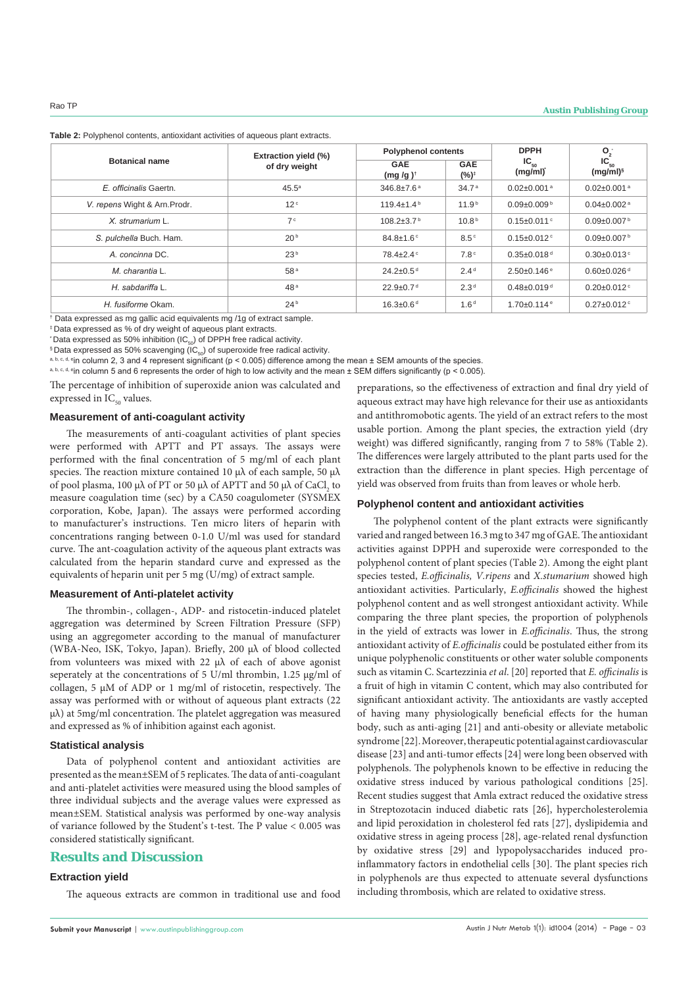|                               | <b>Extraction yield (%)</b> | <b>Polyphenol contents</b>       |                               | <b>DPPH</b>                   | $O_2$<br>$IC_{50}$<br>$(mg/ml)^s$ |  |
|-------------------------------|-----------------------------|----------------------------------|-------------------------------|-------------------------------|-----------------------------------|--|
| <b>Botanical name</b>         | of dry weight               | <b>GAE</b><br>$(mg/g)^{\dagger}$ | <b>GAE</b><br>$(%)^{\dagger}$ | $IC_{50}$<br>(mg/ml)          |                                   |  |
| E. officinalis Gaertn.        | 45.5 <sup>a</sup>           | $346.8 \pm 7.6^{\text{a}}$       | 34.7 <sup>a</sup>             | $0.02 \pm 0.001$ <sup>a</sup> | $0.02 \pm 0.001$ <sup>a</sup>     |  |
| V. repens Wight & Arn. Prodr. | 12 <sup>c</sup>             | $119.4 \pm 1.4^{\circ}$          | 11.9 <sup>b</sup>             | $0.09 \pm 0.009$ b            | $0.04 \pm 0.002$ <sup>a</sup>     |  |
| X. strumarium L.              | 7c                          | $108.2 \pm 3.7$ <sup>b</sup>     | 10.8 <sup>b</sup>             | $0.15 \pm 0.011$ °            | $0.09 \pm 0.007$ <sup>b</sup>     |  |
| S. pulchella Buch. Ham.       | 20 <sup>b</sup>             | $84.8 \pm 1.6$ °                 | 8.5 <sup>c</sup>              | $0.15 \pm 0.012$ <sup>c</sup> | $0.09 \pm 0.007$ <sup>b</sup>     |  |
| A. concinna DC.               | 23 <sup>b</sup>             | $78.4 + 2.4$                     | 7.8 <sup>c</sup>              | $0.35 \pm 0.018$ <sup>d</sup> | $0.30 \pm 0.013$ <sup>c</sup>     |  |
| M. charantia L.               | 58 <sup>a</sup>             | $24.2 \pm 0.5$ <sup>d</sup>      | 2.4 <sup>d</sup>              | $2.50\pm0.146$ <sup>e</sup>   | $0.60 \pm 0.026$ <sup>d</sup>     |  |
| H. sabdariffa L.              | 48 <sup>a</sup>             | $22.9 \pm 0.7$ <sup>d</sup>      | 2.3 <sup>d</sup>              | $0.48 \pm 0.019$ <sup>d</sup> | $0.20 \pm 0.012$ <sup>c</sup>     |  |
| H. fusiforme Okam.            | 24 <sup>b</sup>             | $16.3 \pm 0.6$ <sup>d</sup>      | 1.6 <sup>d</sup>              | $1.70 \pm 0.114$ <sup>e</sup> | $0.27 \pm 0.012$ <sup>c</sup>     |  |

**Table 2:** Polyphenol contents, antioxidant activities of aqueous plant extracts.

† Data expressed as mg gallic acid equivalents mg /1g of extract sample.

‡ Data expressed as % of dry weight of aqueous plant extracts.

\* Data expressed as 50% inhibition (IC<sub>co</sub>) of DPPH free radical activity.

 $$$  Data expressed as 50% scavenging (IC<sub>50</sub>) of superoxide free radical activity.

a, b, c, d, e<sub>in</sub> column 2, 3 and 4 represent significant ( $p < 0.005$ ) difference among the mean  $\pm$  SEM amounts of the species.

a, b, c, d, e<sub>in</sub> column 5 and 6 represents the order of high to low activity and the mean ± SEM differs significantly (p < 0.005).

The percentage of inhibition of superoxide anion was calculated and expressed in  $IC_{50}$  values.

#### **Measurement of anti-coagulant activity**

The measurements of anti-coagulant activities of plant species were performed with APTT and PT assays. The assays were performed with the final concentration of 5 mg/ml of each plant species. The reaction mixture contained 10 μλ of each sample, 50 μλ of pool plasma, 100 μλ of PT or 50 μλ of APTT and 50 μλ of CaCl<sub>2</sub> to measure coagulation time (sec) by a CA50 coagulometer (SYSMEX corporation, Kobe, Japan). The assays were performed according to manufacturer's instructions. Ten micro liters of heparin with concentrations ranging between 0-1.0 U/ml was used for standard curve. The ant-coagulation activity of the aqueous plant extracts was calculated from the heparin standard curve and expressed as the equivalents of heparin unit per 5 mg (U/mg) of extract sample.

#### **Measurement of Anti-platelet activity**

The thrombin-, collagen-, ADP- and ristocetin-induced platelet aggregation was determined by Screen Filtration Pressure (SFP) using an aggregometer according to the manual of manufacturer (WBA-Neo, ISK, Tokyo, Japan). Briefly, 200 µλ of blood collected from volunteers was mixed with 22 µλ of each of above agonist seperately at the concentrations of 5 U/ml thrombin, 1.25 µg/ml of collagen, 5 µΜ of ADP or 1 mg/ml of ristocetin, respectively. The assay was performed with or without of aqueous plant extracts (22  $\mu\lambda$ ) at 5mg/ml concentration. The platelet aggregation was measured and expressed as % of inhibition against each agonist.

#### **Statistical analysis**

Data of polyphenol content and antioxidant activities are presented as the mean±SEM of 5 replicates. The data of anti-coagulant and anti-platelet activities were measured using the blood samples of three individual subjects and the average values were expressed as mean±SEM. Statistical analysis was performed by one-way analysis of variance followed by the Student's t-test. The P value < 0.005 was considered statistically significant.

# **Results and Discussion**

#### **Extraction yield**

The aqueous extracts are common in traditional use and food

**Submit your Manuscript** | www.austinpublishinggroup.com

preparations, so the effectiveness of extraction and final dry yield of aqueous extract may have high relevance for their use as antioxidants and antithromobotic agents. The yield of an extract refers to the most usable portion. Among the plant species, the extraction yield (dry weight) was differed significantly, ranging from 7 to 58% (Table 2). The differences were largely attributed to the plant parts used for the extraction than the difference in plant species. High percentage of yield was observed from fruits than from leaves or whole herb.

# **Polyphenol content and antioxidant activities**

The polyphenol content of the plant extracts were significantly varied and ranged between 16.3 mg to 347 mg of GAE. The antioxidant activities against DPPH and superoxide were corresponded to the polyphenol content of plant species (Table 2). Among the eight plant species tested, *E.officinalis, V.ripens* and *X.stumarium* showed high antioxidant activities. Particularly, *E.officinalis* showed the highest polyphenol content and as well strongest antioxidant activity. While comparing the three plant species, the proportion of polyphenols in the yield of extracts was lower in *E.officinalis*. Thus, the strong antioxidant activity of *E.officinalis* could be postulated either from its unique polyphenolic constituents or other water soluble components such as vitamin C. Scartezzinia *et al*. [20] reported that *E. officinalis* is a fruit of high in vitamin C content, which may also contributed for significant antioxidant activity. The antioxidants are vastly accepted of having many physiologically beneficial effects for the human body, such as anti-aging [21] and anti-obesity or alleviate metabolic syndrome [22]. Moreover, therapeutic potential against cardiovascular disease [23] and anti-tumor effects [24] were long been observed with polyphenols. The polyphenols known to be effective in reducing the oxidative stress induced by various pathological conditions [25]. Recent studies suggest that Amla extract reduced the oxidative stress in Streptozotacin induced diabetic rats [26], hypercholesterolemia and lipid peroxidation in cholesterol fed rats [27], dyslipidemia and oxidative stress in ageing process [28], age-related renal dysfunction by oxidative stress [29] and lypopolysaccharides induced proinflammatory factors in endothelial cells [30]. The plant species rich in polyphenols are thus expected to attenuate several dysfunctions including thrombosis, which are related to oxidative stress.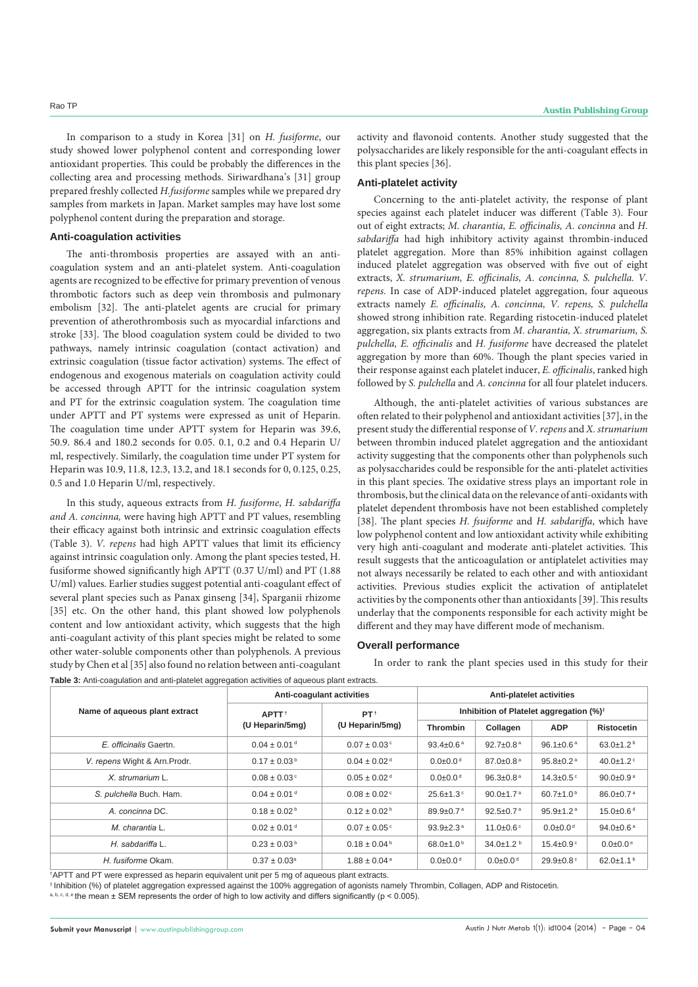In comparison to a study in Korea [31] on *H. fusiforme*, our study showed lower polyphenol content and corresponding lower antioxidant properties. This could be probably the differences in the collecting area and processing methods. Siriwardhana's [31] group prepared freshly collected *H.fusiforme* samples while we prepared dry samples from markets in Japan. Market samples may have lost some polyphenol content during the preparation and storage.

### **Anti-coagulation activities**

The anti-thrombosis properties are assayed with an anticoagulation system and an anti-platelet system. Anti-coagulation agents are recognized to be effective for primary prevention of venous thrombotic factors such as deep vein thrombosis and pulmonary embolism [32]. The anti-platelet agents are crucial for primary prevention of atherothrombosis such as myocardial infarctions and stroke [33]. The blood coagulation system could be divided to two pathways, namely intrinsic coagulation (contact activation) and extrinsic coagulation (tissue factor activation) systems. The effect of endogenous and exogenous materials on coagulation activity could be accessed through APTT for the intrinsic coagulation system and PT for the extrinsic coagulation system. The coagulation time under APTT and PT systems were expressed as unit of Heparin. The coagulation time under APTT system for Heparin was 39.6, 50.9. 86.4 and 180.2 seconds for 0.05. 0.1, 0.2 and 0.4 Heparin U/ ml, respectively. Similarly, the coagulation time under PT system for Heparin was 10.9, 11.8, 12.3, 13.2, and 18.1 seconds for 0, 0.125, 0.25, 0.5 and 1.0 Heparin U/ml, respectively.

In this study, aqueous extracts from *H. fusiforme*, *H. sabdariffa and A. concinna,* were having high APTT and PT values, resembling their efficacy against both intrinsic and extrinsic coagulation effects (Table 3). *V. repens* had high APTT values that limit its efficiency against intrinsic coagulation only. Among the plant species tested, H. fusiforme showed significantly high APTT (0.37 U/ml) and PT (1.88 U/ml) values. Earlier studies suggest potential anti-coagulant effect of several plant species such as Panax ginseng [34], Sparganii rhizome [35] etc. On the other hand, this plant showed low polyphenols content and low antioxidant activity, which suggests that the high anti-coagulant activity of this plant species might be related to some other water-soluble components other than polyphenols. A previous study by Chen et al [35] also found no relation between anti-coagulant **Table 3:** Anti-coagulation and anti-platelet aggregation activities of aqueous plant extracts.

activity and flavonoid contents. Another study suggested that the polysaccharides are likely responsible for the anti-coagulant effects in this plant species [36].

#### **Anti-platelet activity**

Concerning to the anti-platelet activity, the response of plant species against each platelet inducer was different (Table 3). Four out of eight extracts; *M. charantia, E. officinalis, A. concinna* and *H. sabdariffa* had high inhibitory activity against thrombin-induced platelet aggregation. More than 85% inhibition against collagen induced platelet aggregation was observed with five out of eight extracts, *X. strumarium, E. officinalis, A. concinna, S. pulchella. V. repens.* In case of ADP-induced platelet aggregation, four aqueous extracts namely *E. officinalis, A. concinna, V. repens, S. pulchella* showed strong inhibition rate. Regarding ristocetin-induced platelet aggregation, six plants extracts from *M. charantia, X. strumarium, S. pulchella, E. officinalis* and *H. fusiforme* have decreased the platelet aggregation by more than 60%. Though the plant species varied in their response against each platelet inducer, *E. officinalis*, ranked high followed by *S. pulchella* and *A. concinna* for all four platelet inducers*.*

Although, the anti-platelet activities of various substances are often related to their polyphenol and antioxidant activities [37], in the present study the differential response of *V. repens* and *X. strumarium*  between thrombin induced platelet aggregation and the antioxidant activity suggesting that the components other than polyphenols such as polysaccharides could be responsible for the anti-platelet activities in this plant species. The oxidative stress plays an important role in thrombosis, but the clinical data on the relevance of anti-oxidants with platelet dependent thrombosis have not been established completely [38]. The plant species *H. fsuiforme* and *H. sabdariffa*, which have low polyphenol content and low antioxidant activity while exhibiting very high anti-coagulant and moderate anti-platelet activities. This result suggests that the anticoagulation or antiplatelet activities may not always necessarily be related to each other and with antioxidant activities. Previous studies explicit the activation of antiplatelet activities by the components other than antioxidants [39]. This results underlay that the components responsible for each activity might be different and they may have different mode of mechanism.

#### **Overall performance**

In order to rank the plant species used in this study for their

|                               |                              | Anti-coagulant activities<br>Anti-platelet activities |                                                     |                             |                             |                             |  |
|-------------------------------|------------------------------|-------------------------------------------------------|-----------------------------------------------------|-----------------------------|-----------------------------|-----------------------------|--|
| Name of aqueous plant extract | APTT <sup>+</sup>            | PT <sup>+</sup>                                       | Inhibition of Platelet aggregation (%) <sup>‡</sup> |                             |                             |                             |  |
|                               | (U Heparin/5mg)              | (U Heparin/5mg)                                       | Thrombin                                            | Collagen                    | <b>ADP</b>                  | <b>Ristocetin</b>           |  |
| E. officinalis Gaertn.        | $0.04 \pm 0.01$ <sup>d</sup> | $0.07 \pm 0.03$ <sup>c</sup>                          | 93.4 $\pm$ 0.6 <sup>a</sup>                         | $92.7 \pm 0.8$ <sup>a</sup> | 96.1 $\pm$ 0.6 <sup>a</sup> | $63.0 \pm 1.2$ <sup>b</sup> |  |
| V. repens Wight & Arn. Prodr. | $0.17 \pm 0.03^{\circ}$      | $0.04 \pm 0.02$ <sup>d</sup>                          | $0.0 \pm 0.0$ <sup>d</sup>                          | $87.0 \pm 0.8$ <sup>a</sup> | 95.8 $\pm$ 0.2 <sup>a</sup> | 40.0 $\pm$ 1.2 $\degree$    |  |
| X. strumarium L.              | $0.08 \pm 0.03$ °            | $0.05 \pm 0.02$ <sup>d</sup>                          | $0.0 \pm 0.0$ <sup>d</sup>                          | $96.3{\pm}0.8^{\text{a}}$   | $14.3 \pm 0.5$ <sup>c</sup> | 90.0 $\pm$ 0.9 $a$          |  |
| S. pulchella Buch. Ham.       | $0.04 \pm 0.01$ <sup>d</sup> | $0.08 \pm 0.02$ <sup>c</sup>                          | $25.6 \pm 1.3$ °                                    | $90.0 \pm 1.7$ <sup>a</sup> | 60.7 $\pm$ 1.0 <sup>b</sup> | 86.0 $\pm$ 0.7 $a$          |  |
| A. concinna DC.               | $0.18 \pm 0.02^{\circ}$      | $0.12 \pm 0.02^{\text{b}}$                            | $89.9 \pm 0.7$ <sup>a</sup>                         | $92.5 \pm 0.7$ <sup>a</sup> | $95.9 \pm 1.2$ <sup>a</sup> | $15.0\pm0.6$ <sup>d</sup>   |  |
| M. charantia L.               | $0.02 \pm 0.01$ <sup>d</sup> | $0.07 \pm 0.05$ <sup>c</sup>                          | $93.9 \pm 2.3$ <sup>a</sup>                         | 11.0 $\pm$ 0.6 $\degree$    | $0.0 \pm 0.0$ <sup>d</sup>  | 94.0 $\pm$ 0.6 $a$          |  |
| H. sabdariffa L.              | $0.23 \pm 0.03^{\circ}$      | $0.18 \pm 0.04^{\circ}$                               | $68.0 \pm 1.0^{\circ}$                              | $34.0 \pm 1.2$              | $15.4 \pm 0.9$ <sup>c</sup> | $0.0 \pm 0.0$ <sup>e</sup>  |  |
| H. fusiforme Okam.            | $0.37 \pm 0.03$ <sup>a</sup> | $1.88 \pm 0.04^{\text{a}}$                            | $0.0 \pm 0.0$ <sup>d</sup>                          | $0.0 \pm 0.0$ <sup>d</sup>  | $29.9 \pm 0.8$ <sup>c</sup> | 62.0±1.1 <sup>b</sup>       |  |

† APTT and PT were expressed as heparin equivalent unit per 5 mg of aqueous plant extracts.

‡ Inhibition (%) of platelet aggregation expressed against the 100% aggregation of agonists namely Thrombin, Collagen, ADP and Ristocetin.

a, b, c, d, e the mean  $\pm$  SEM represents the order of high to low activity and differs significantly (p < 0.005).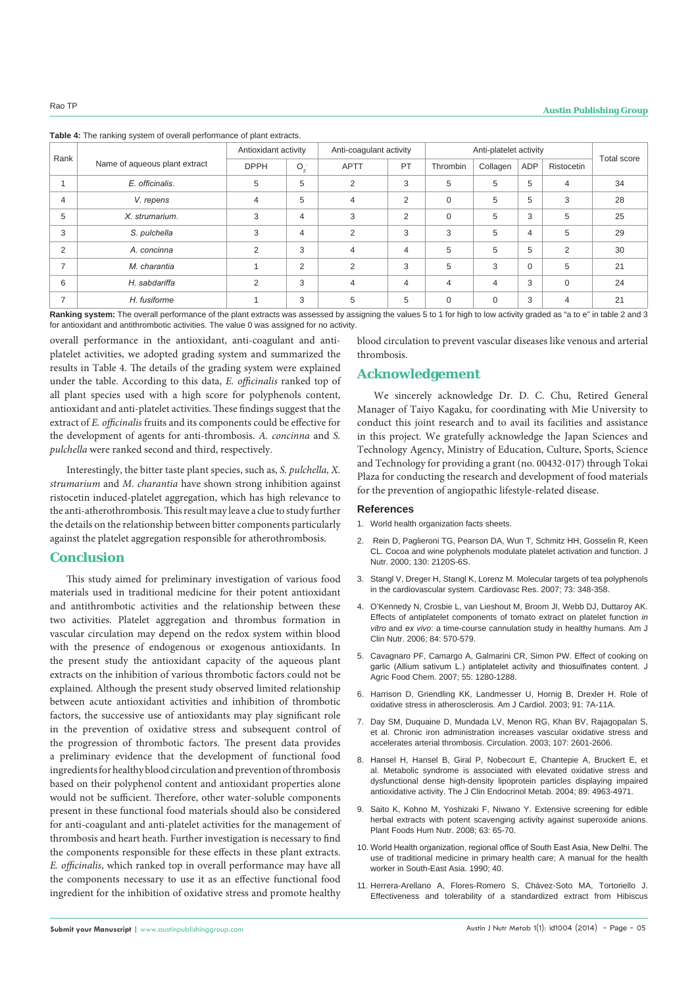**Table 4:** The ranking system of overall performance of plant extracts.

|                |                               | Antioxidant activity |                | Anti-coagulant activity |                | Anti-platelet activity |                |     |                |                    |
|----------------|-------------------------------|----------------------|----------------|-------------------------|----------------|------------------------|----------------|-----|----------------|--------------------|
| Rank           | Name of aqueous plant extract | <b>DPPH</b>          | $O_2$          | <b>APTT</b>             | PT             | Thrombin               | Collagen       | ADP | Ristocetin     | <b>Total score</b> |
|                | E. officinalis.               | 5                    | 5              | 2                       | 3              | 5                      | 5              | 5   | $\overline{4}$ | 34                 |
| 4              | V. repens                     | 4                    | 5              | $\overline{4}$          | $\overline{2}$ | $\mathbf 0$            | 5              | 5   | 3              | 28                 |
| 5              | X. strumarium.                | 3                    | $\overline{4}$ | 3                       | $\overline{2}$ | $\Omega$               | 5              | 3   | 5              | 25                 |
| 3              | S. pulchella                  | 3                    | $\overline{4}$ | 2                       | 3              | 3                      | 5              | 4   | 5              | 29                 |
| 2              | A. concinna                   | 2                    | 3              | 4                       | $\overline{4}$ | 5                      | 5              | 5   | 2              | 30                 |
| $\overline{ }$ | M. charantia                  |                      | $\overline{2}$ | 2                       | 3              | 5                      | 3              | 0   | 5              | 21                 |
| 6              | H. sabdariffa                 | 2                    | 3              | 4                       | $\overline{4}$ | 4                      | $\overline{4}$ | 3   | $\mathbf 0$    | 24                 |
| $\overline{ }$ | H. fusiforme                  |                      | 3              | 5                       | 5              | $\mathbf 0$            | 0              | 3   | $\overline{4}$ | 21                 |

**Ranking system:** The overall performance of the plant extracts was assessed by assigning the values 5 to 1 for high to low activity graded as "a to e" in table 2 and 3 for antioxidant and antithrombotic activities. The value 0 was assigned for no activity.

overall performance in the antioxidant, anti-coagulant and antiplatelet activities, we adopted grading system and summarized the results in Table 4. The details of the grading system were explained under the table. According to this data, *E. officinalis* ranked top of all plant species used with a high score for polyphenols content, antioxidant and anti-platelet activities. These findings suggest that the extract of *E. officinalis* fruits and its components could be effective for the development of agents for anti-thrombosis. *A. concinna* and *S. pulchella* were ranked second and third, respectively.

Interestingly, the bitter taste plant species, such as, *S. pulchella, X. strumarium* and *M. charantia* have shown strong inhibition against ristocetin induced-platelet aggregation, which has high relevance to the anti-atherothrombosis. This result may leave a clue to study further the details on the relationship between bitter components particularly against the platelet aggregation responsible for atherothrombosis.

# **Conclusion**

This study aimed for preliminary investigation of various food materials used in traditional medicine for their potent antioxidant and antithrombotic activities and the relationship between these two activities. Platelet aggregation and thrombus formation in vascular circulation may depend on the redox system within blood with the presence of endogenous or exogenous antioxidants. In the present study the antioxidant capacity of the aqueous plant extracts on the inhibition of various thrombotic factors could not be explained. Although the present study observed limited relationship between acute antioxidant activities and inhibition of thrombotic factors, the successive use of antioxidants may play significant role in the prevention of oxidative stress and subsequent control of the progression of thrombotic factors. The present data provides a preliminary evidence that the development of functional food ingredients for healthy blood circulation and prevention of thrombosis based on their polyphenol content and antioxidant properties alone would not be sufficient. Therefore, other water-soluble components present in these functional food materials should also be considered for anti-coagulant and anti-platelet activities for the management of thrombosis and heart heath. Further investigation is necessary to find the components responsible for these effects in these plant extracts. *E. officinalis*, which ranked top in overall performance may have all the components necessary to use it as an effective functional food ingredient for the inhibition of oxidative stress and promote healthy

blood circulation to prevent vascular diseases like venous and arterial thrombosis.

# **Acknowledgement**

We sincerely acknowledge Dr. D. C. Chu, Retired General Manager of Taiyo Kagaku, for coordinating with Mie University to conduct this joint research and to avail its facilities and assistance in this project. We gratefully acknowledge the Japan Sciences and Technology Agency, Ministry of Education, Culture, Sports, Science and Technology for providing a grant (no. 00432-017) through Tokai Plaza for conducting the research and development of food materials for the prevention of angiopathic lifestyle-related disease.

#### **References**

- 1. [World health organization facts sheets.](http://www.who.int/mediacentre/factsheets/en/)
- 2. [Rein D, Paglieroni TG, Pearson DA, Wun T, Schmitz HH, Gosselin R, Keen](http://www.ncbi.nlm.nih.gov/pubmed/10917933)  [CL. Cocoa and wine polyphenols modulate platelet activation and function. J](http://www.ncbi.nlm.nih.gov/pubmed/10917933)  [Nutr. 2000; 130: 2120S-6S.](http://www.ncbi.nlm.nih.gov/pubmed/10917933)
- 3. [Stangl V, Dreger H, Stangl K, Lorenz M. Molecular targets of tea polyphenols](http://www.ncbi.nlm.nih.gov/pubmed/17020753)  [in the cardiovascular system. Cardiovasc Res. 2007; 73: 348-358.](http://www.ncbi.nlm.nih.gov/pubmed/17020753)
- 4. [O'Kennedy N, Crosbie L, van Lieshout M, Broom JI, Webb DJ, Duttaroy AK.](http://www.ncbi.nlm.nih.gov/pubmed/16960171)  [Effects of antiplatelet components of tomato extract on platelet function](http://www.ncbi.nlm.nih.gov/pubmed/16960171) *in vitro* and *ex vivo*[: a time-course cannulation study in healthy humans. Am J](http://www.ncbi.nlm.nih.gov/pubmed/16960171)  [Clin Nutr. 2006; 84: 570-579.](http://www.ncbi.nlm.nih.gov/pubmed/16960171)
- 5. [Cavagnaro PF, Camargo A, Galmarini CR, Simon PW. Effect of cooking on](http://www.ncbi.nlm.nih.gov/pubmed/17256959)  [garlic \(Allium sativum L.\) antiplatelet activity and thiosulfinates content. J](http://www.ncbi.nlm.nih.gov/pubmed/17256959)  [Agric Food Chem. 2007; 55: 1280-1288.](http://www.ncbi.nlm.nih.gov/pubmed/17256959)
- 6. [Harrison D, Griendling KK, Landmesser U, Hornig B, Drexler H. Role of](http://www.ncbi.nlm.nih.gov/pubmed/12645638)  [oxidative stress in atherosclerosis. Am J Cardiol. 2003; 91: 7A-11A.](http://www.ncbi.nlm.nih.gov/pubmed/12645638)
- 7. [Day SM, Duquaine D, Mundada LV, Menon RG, Khan BV, Rajagopalan S,](http://www.ncbi.nlm.nih.gov/pubmed/12732602)  [et al. Chronic iron administration increases vascular oxidative stress and](http://www.ncbi.nlm.nih.gov/pubmed/12732602)  [accelerates arterial thrombosis. Circulation. 2003; 107: 2601-2606.](http://www.ncbi.nlm.nih.gov/pubmed/12732602)
- 8. [Hansel H, Hansel B, Giral P, Nobecourt E, Chantepie A, Bruckert E, et](http://www.ncbi.nlm.nih.gov/pubmed/15472192)  [al. Metabolic syndrome is associated with elevated oxidative stress and](http://www.ncbi.nlm.nih.gov/pubmed/15472192)  [dysfunctional dense high-density lipoprotein particles displaying impaired](http://www.ncbi.nlm.nih.gov/pubmed/15472192)  [antioxidative activity. The J Clin Endocrinol Metab. 2004; 89: 4963-4971.](http://www.ncbi.nlm.nih.gov/pubmed/15472192)
- 9. [Saito K, Kohno M, Yoshizaki F, Niwano Y. Extensive screening for edible](http://www.ncbi.nlm.nih.gov/pubmed/18236159)  herbal extracts with potent scavenging activity against superoxide anions. [Plant Foods Hum Nutr. 2008; 63: 65-70.](http://www.ncbi.nlm.nih.gov/pubmed/18236159)
- 10. World Health organization, regional office of South East Asia, New Delhi. The use of traditional medicine in primary health care; A manual for the health worker in South-East Asia. 1990; 40.
- 11. [Herrera-Arellano A, Flores-Romero S, Chávez-Soto MA, Tortoriello J.](http://www.ncbi.nlm.nih.gov/pubmed/15330492)  [Effectiveness and tolerability of a standardized extract from Hibiscus](http://www.ncbi.nlm.nih.gov/pubmed/15330492)